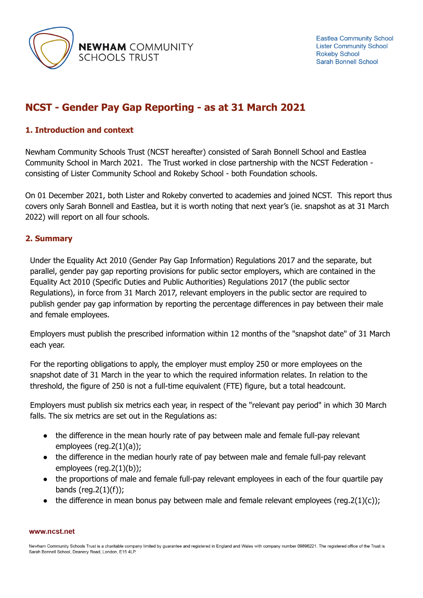

# **NCST - Gender Pay Gap Reporting - as at 31 March 2021**

# **1. Introduction and context**

Newham Community Schools Trust (NCST hereafter) consisted of Sarah Bonnell School and Eastlea Community School in March 2021. The Trust worked in close partnership with the NCST Federation consisting of Lister Community School and Rokeby School - both Foundation schools.

On 01 December 2021, both Lister and Rokeby converted to academies and joined NCST. This report thus covers only Sarah Bonnell and Eastlea, but it is worth noting that next year's (ie. snapshot as at 31 March 2022) will report on all four schools.

### **2. Summary**

Under the Equality Act 2010 (Gender Pay Gap Information) Regulations 2017 and the separate, but parallel, gender pay gap reporting provisions for public sector employers, which are contained in the Equality Act 2010 (Specific Duties and Public Authorities) Regulations 2017 (the public sector Regulations), in force from 31 March 2017, relevant employers in the public sector are required to publish gender pay gap information by reporting the percentage differences in pay between their male and female employees.

Employers must publish the prescribed information within 12 months of the "snapshot date" of 31 March each year.

For the reporting obligations to apply, the employer must employ 250 or more employees on the snapshot date of 31 March in the year to which the required information relates. In relation to the threshold, the figure of 250 is not a full-time equivalent (FTE) figure, but a total headcount.

Employers must publish six metrics each year, in respect of the "relevant pay period" in which 30 March falls. The six metrics are set out in the Regulations as:

- the difference in the mean hourly rate of pay between male and female full-pay relevant employees (reg.2(1)(a));
- the difference in the median hourly rate of pay between male and female full-pay relevant employees (reg.2(1)(b));
- the proportions of male and female full-pay relevant employees in each of the four quartile pay bands (reg.  $2(1)(f)$ );
- the difference in mean bonus pay between male and female relevant employees (reg.2(1)(c));

#### www.ncst.net

Newham Community Schools Trust is a charitable company limited by guarantee and registered in England and Wales with company number 09896221. The registered office of the Trust is Sarah Bonnell School, Deanery Road, London, E15 4LP.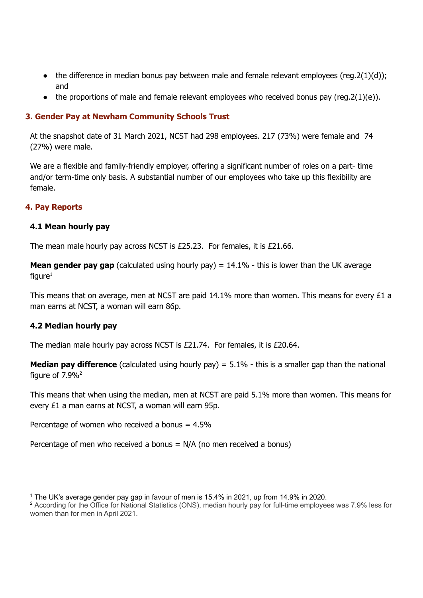- $\bullet$  the difference in median bonus pay between male and female relevant employees (reg.  $2(1)(d)$ ); and
- $\bullet$  the proportions of male and female relevant employees who received bonus pay (reg.  $2(1)(e)$ ).

# **3. Gender Pay at Newham Community Schools Trust**

At the snapshot date of 31 March 2021, NCST had 298 employees. 217 (73%) were female and 74 (27%) were male.

We are a flexible and family-friendly employer, offering a significant number of roles on a part- time and/or term-time only basis. A substantial number of our employees who take up this flexibility are female.

### **4. Pay Reports**

### **4.1 Mean hourly pay**

The mean male hourly pay across NCST is £25.23. For females, it is £21.66.

**Mean gender pay gap** (calculated using hourly pay) = 14.1% - this is lower than the UK average figure $^1$ 

This means that on average, men at NCST are paid 14.1% more than women. This means for every £1 a man earns at NCST, a woman will earn 86p.

### **4.2 Median hourly pay**

The median male hourly pay across NCST is £21.74. For females, it is £20.64.

**Median pay difference** (calculated using hourly pay) = 5.1% - this is a smaller gap than the national figure of  $7.9\%$ <sup>2</sup>

This means that when using the median, men at NCST are paid 5.1% more than women. This means for every £1 a man earns at NCST, a woman will earn 95p.

Percentage of women who received a bonus  $= 4.5\%$ 

Percentage of men who received a bonus  $= N/A$  (no men received a bonus)

<sup>1</sup> The UK's average gender pay gap in favour of men is 15.4% in 2021, up from 14.9% in 2020.

<sup>2</sup> According for the Office for National Statistics (ONS), median hourly pay for full-time employees was 7.9% less for women than for men in April 2021.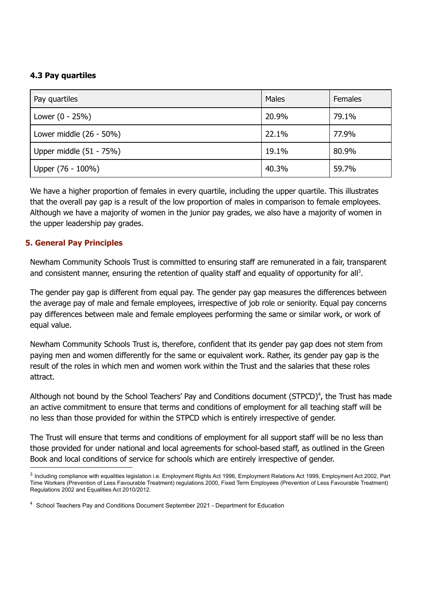## **4.3 Pay quartiles**

| Pay quartiles              | Males | Females |
|----------------------------|-------|---------|
| Lower $(0 - 25%)$          | 20.9% | 79.1%   |
| Lower middle $(26 - 50\%)$ | 22.1% | 77.9%   |
| Upper middle (51 - 75%)    | 19.1% | 80.9%   |
| Upper (76 - 100%)          | 40.3% | 59.7%   |

We have a higher proportion of females in every quartile, including the upper quartile. This illustrates that the overall pay gap is a result of the low proportion of males in comparison to female employees. Although we have a majority of women in the junior pay grades, we also have a majority of women in the upper leadership pay grades.

# **5. General Pay Principles**

Newham Community Schools Trust is committed to ensuring staff are remunerated in a fair, transparent and consistent manner, ensuring the retention of quality staff and equality of opportunity for all<sup>3</sup>.

The gender pay gap is different from equal pay. The gender pay gap measures the differences between the average pay of male and female employees, irrespective of job role or seniority. Equal pay concerns pay differences between male and female employees performing the same or similar work, or work of equal value.

Newham Community Schools Trust is, therefore, confident that its gender pay gap does not stem from paying men and women differently for the same or equivalent work. Rather, its gender pay gap is the result of the roles in which men and women work within the Trust and the salaries that these roles attract.

Although not bound by the School Teachers' Pay and Conditions document (STPCD)<sup>4</sup>, the Trust has made an active commitment to ensure that terms and conditions of employment for all teaching staff will be no less than those provided for within the STPCD which is entirely irrespective of gender.

The Trust will ensure that terms and conditions of employment for all support staff will be no less than those provided for under national and local agreements for school-based staff, as outlined in the Green Book and local conditions of service for schools which are entirely irrespective of gender.

<sup>&</sup>lt;sup>3</sup> Including compliance with equalities legislation i.e. Employment Rights Act 1996, Employment Relations Act 1999, Employment Act 2002, Part Time Workers (Prevention of Less Favourable Treatment) regulations 2000, Fixed Term Employees (Prevention of Less Favourable Treatment) Regulations 2002 and Equalities Act 2010/2012.

<sup>4</sup> School Teachers Pay and Conditions Document September 2021 - Department for Education